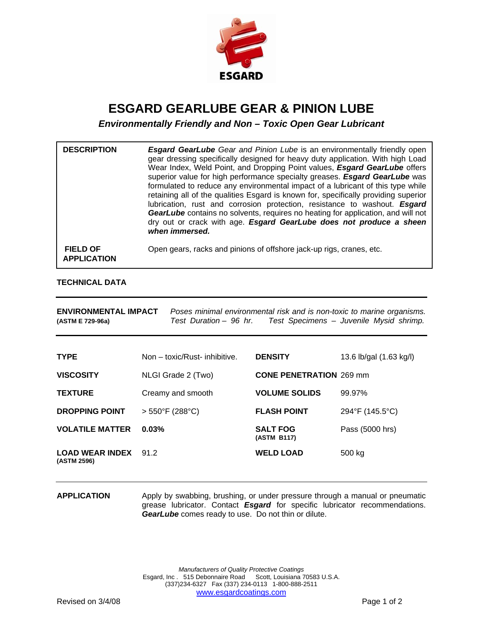

## **ESGARD GEARLUBE GEAR & PINION LUBE**

*Environmentally Friendly and Non – Toxic Open Gear Lubricant* 

| <b>DESCRIPTION</b>                    | <b>Esgard GearLube</b> Gear and Pinion Lube is an environmentally friendly open<br>gear dressing specifically designed for heavy duty application. With high Load<br>Wear Index, Weld Point, and Dropping Point values, Esgard GearLube offers<br>superior value for high performance specialty greases. Esgard GearLube was<br>formulated to reduce any environmental impact of a lubricant of this type while<br>retaining all of the qualities Esgard is known for, specifically providing superior<br>lubrication, rust and corrosion protection, resistance to washout. Esgard<br>GearLube contains no solvents, requires no heating for application, and will not<br>dry out or crack with age. Esgard GearLube does not produce a sheen<br>when immersed. |
|---------------------------------------|------------------------------------------------------------------------------------------------------------------------------------------------------------------------------------------------------------------------------------------------------------------------------------------------------------------------------------------------------------------------------------------------------------------------------------------------------------------------------------------------------------------------------------------------------------------------------------------------------------------------------------------------------------------------------------------------------------------------------------------------------------------|
| <b>FIELD OF</b><br><b>APPLICATION</b> | Open gears, racks and pinions of offshore jack-up rigs, cranes, etc.                                                                                                                                                                                                                                                                                                                                                                                                                                                                                                                                                                                                                                                                                             |

## **TECHNICAL DATA**

| <b>ENVIRONMENTAL IMPACT</b> |                        | Poses minimal environmental risk and is non-toxic to marine organisms. |
|-----------------------------|------------------------|------------------------------------------------------------------------|
| (ASTM E 729-96a)            | Test Duration – 96 hr. | Test Specimens – Juvenile Mysid shrimp.                                |

| <b>TYPE</b>                           | Non – toxic/Rust- inhibitive. | <b>DENSITY</b>                 | 13.6 lb/gal (1.63 kg/l) |
|---------------------------------------|-------------------------------|--------------------------------|-------------------------|
| <b>VISCOSITY</b>                      | NLGI Grade 2 (Two)            | <b>CONE PENETRATION 269 mm</b> |                         |
| <b>TEXTURE</b>                        | Creamy and smooth             | <b>VOLUME SOLIDS</b>           | 99.97%                  |
| <b>DROPPING POINT</b>                 | $> 550^{\circ}$ F (288°C)     | <b>FLASH POINT</b>             | 294°F (145.5°C)         |
| <b>VOLATILE MATTER</b>                | 0.03%                         | <b>SALT FOG</b><br>(ASTM B117) | Pass (5000 hrs)         |
| <b>LOAD WEAR INDEX</b><br>(ASTM 2596) | 91.2                          | <b>WELD LOAD</b>               | 500 kg                  |

**APPLICATION** Apply by swabbing, brushing, or under pressure through a manual or pneumatic grease lubricator. Contact *Esgard* for specific lubricator recommendations. *GearLube* comes ready to use. Do not thin or dilute.

> *Manufacturers of Quality Protective Coatings*  Esgard, Inc . 515 Debonnaire Road Scott, Louisiana 70583 U.S.A. (337)234-6327 Fax (337) 234-0113 1-800-888-2511 www.esgardcoatings.com